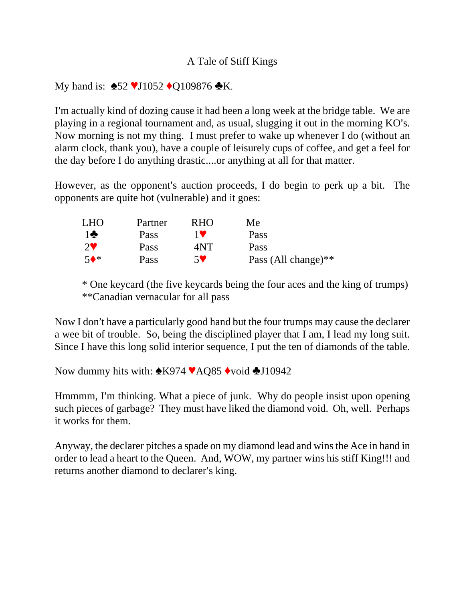## A Tale of Stiff Kings

## My hand is:  $\triangle 52$  VJ1052  $\triangle 0$ 109876  $\triangle K$ .

I'm actually kind of dozing cause it had been a long week at the bridge table. We are playing in a regional tournament and, as usual, slugging it out in the morning KO's. Now morning is not my thing. I must prefer to wake up whenever I do (without an alarm clock, thank you), have a couple of leisurely cups of coffee, and get a feel for the day before I do anything drastic....or anything at all for that matter.

However, as the opponent's auction proceeds, I do begin to perk up a bit. The opponents are quite hot (vulnerable) and it goes:

| LHO             | Partner | <b>RHO</b>            | Me                  |
|-----------------|---------|-----------------------|---------------------|
| $1$ $\clubsuit$ | Pass    | 1 V                   | Pass                |
| $2^{\vee}$      | Pass    | 4NT                   | Pass                |
| $5^*$           | Pass    | $5\blacktriangledown$ | Pass (All change)** |

\* One keycard (the five keycards being the four aces and the king of trumps) \*\*Canadian vernacular for all pass

Now I don't have a particularly good hand but the four trumps may cause the declarer a wee bit of trouble. So, being the disciplined player that I am, I lead my long suit. Since I have this long solid interior sequence, I put the ten of diamonds of the table.

Now dummy hits with:  $\triangle K974 \blacktriangleright AQ85 \blacktriangleright \text{void } \triangle 110942$ 

Hmmmm, I'm thinking. What a piece of junk. Why do people insist upon opening such pieces of garbage? They must have liked the diamond void. Oh, well. Perhaps it works for them.

Anyway, the declarer pitches a spade on my diamond lead and wins the Ace in hand in order to lead a heart to the Queen. And, WOW, my partner wins his stiff King!!! and returns another diamond to declarer's king.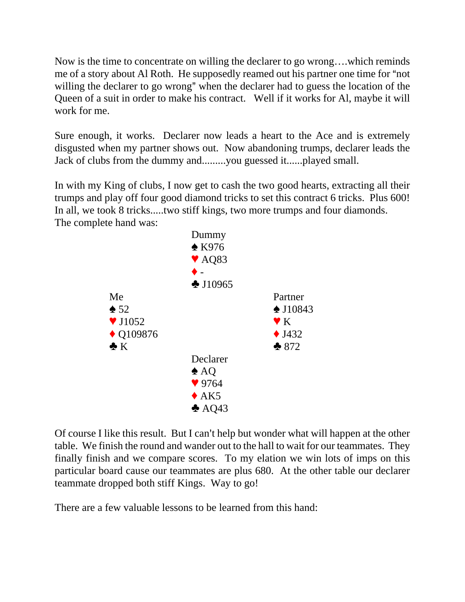Now is the time to concentrate on willing the declarer to go wrong….which reminds me of a story about Al Roth. He supposedly reamed out his partner one time for "not" willing the declarer to go wrong" when the declarer had to guess the location of the Queen of a suit in order to make his contract. Well if it works for Al, maybe it will work for me.

Sure enough, it works. Declarer now leads a heart to the Ace and is extremely disgusted when my partner shows out. Now abandoning trumps, declarer leads the Jack of clubs from the dummy and.........you guessed it......played small.

In with my King of clubs, I now get to cash the two good hearts, extracting all their trumps and play off four good diamond tricks to set this contract 6 tricks. Plus 600! In all, we took 8 tricks.....two stiff kings, two more trumps and four diamonds. The complete hand was:



Of course I like this result. But I can't help but wonder what will happen at the other table. We finish the round and wander out to the hall to wait for our teammates. They finally finish and we compare scores. To my elation we win lots of imps on this particular board cause our teammates are plus 680. At the other table our declarer teammate dropped both stiff Kings. Way to go!

There are a few valuable lessons to be learned from this hand: